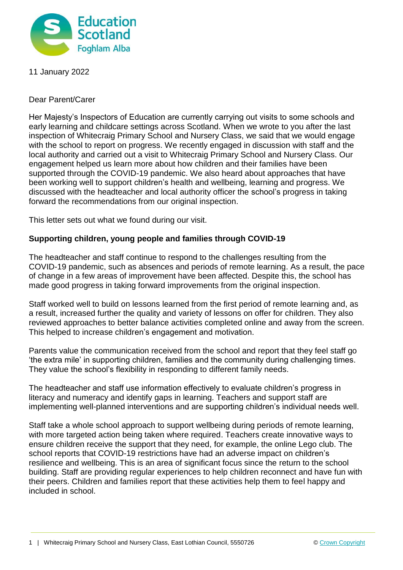

11 January 2022

Dear Parent/Carer

Her Majesty's Inspectors of Education are currently carrying out visits to some schools and early learning and childcare settings across Scotland. When we wrote to you after the last inspection of Whitecraig Primary School and Nursery Class, we said that we would engage with the school to report on progress. We recently engaged in discussion with staff and the local authority and carried out a visit to Whitecraig Primary School and Nursery Class. Our engagement helped us learn more about how children and their families have been supported through the COVID-19 pandemic. We also heard about approaches that have been working well to support children's health and wellbeing, learning and progress. We discussed with the headteacher and local authority officer the school's progress in taking forward the recommendations from our original inspection.

This letter sets out what we found during our visit.

## **Supporting children, young people and families through COVID-19**

The headteacher and staff continue to respond to the challenges resulting from the COVID-19 pandemic, such as absences and periods of remote learning. As a result, the pace of change in a few areas of improvement have been affected. Despite this, the school has made good progress in taking forward improvements from the original inspection.

Staff worked well to build on lessons learned from the first period of remote learning and, as a result, increased further the quality and variety of lessons on offer for children. They also reviewed approaches to better balance activities completed online and away from the screen. This helped to increase children's engagement and motivation.

Parents value the communication received from the school and report that they feel staff go 'the extra mile' in supporting children, families and the community during challenging times. They value the school's flexibility in responding to different family needs.

The headteacher and staff use information effectively to evaluate children's progress in literacy and numeracy and identify gaps in learning. Teachers and support staff are implementing well-planned interventions and are supporting children's individual needs well.

Staff take a whole school approach to support wellbeing during periods of remote learning, with more targeted action being taken where required. Teachers create innovative ways to ensure children receive the support that they need, for example, the online Lego club. The school reports that COVID-19 restrictions have had an adverse impact on children's resilience and wellbeing. This is an area of significant focus since the return to the school building. Staff are providing regular experiences to help children reconnect and have fun with their peers. Children and families report that these activities help them to feel happy and included in school.